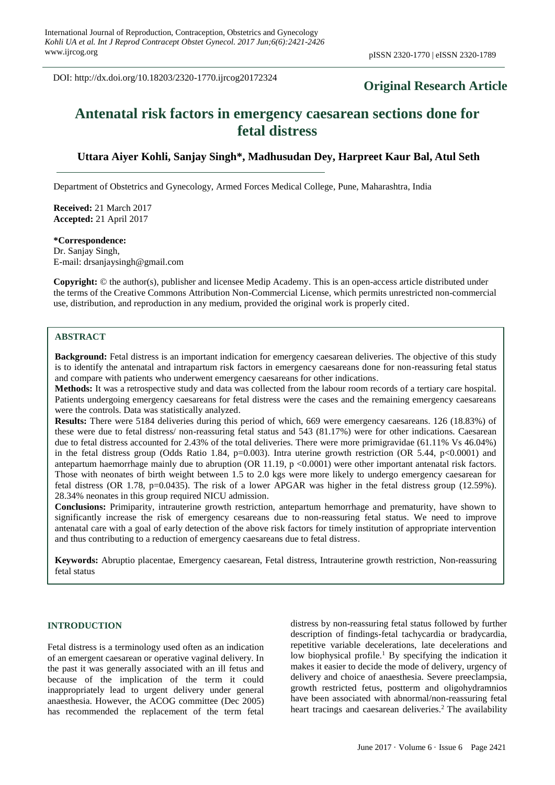DOI: http://dx.doi.org/10.18203/2320-1770.ijrcog20172324

# **Original Research Article**

# **Antenatal risk factors in emergency caesarean sections done for fetal distress**

# **Uttara Aiyer Kohli, Sanjay Singh\*, Madhusudan Dey, Harpreet Kaur Bal, Atul Seth**

Department of Obstetrics and Gynecology, Armed Forces Medical College, Pune, Maharashtra, India

**Received:** 21 March 2017 **Accepted:** 21 April 2017

### **\*Correspondence:**

Dr. Sanjay Singh, E-mail: drsanjaysingh@gmail.com

**Copyright:** © the author(s), publisher and licensee Medip Academy. This is an open-access article distributed under the terms of the Creative Commons Attribution Non-Commercial License, which permits unrestricted non-commercial use, distribution, and reproduction in any medium, provided the original work is properly cited.

#### **ABSTRACT**

**Background:** Fetal distress is an important indication for emergency caesarean deliveries. The objective of this study is to identify the antenatal and intrapartum risk factors in emergency caesareans done for non-reassuring fetal status and compare with patients who underwent emergency caesareans for other indications.

**Methods:** It was a retrospective study and data was collected from the labour room records of a tertiary care hospital. Patients undergoing emergency caesareans for fetal distress were the cases and the remaining emergency caesareans were the controls. Data was statistically analyzed.

**Results:** There were 5184 deliveries during this period of which, 669 were emergency caesareans. 126 (18.83%) of these were due to fetal distress/ non-reassuring fetal status and 543 (81.17%) were for other indications. Caesarean due to fetal distress accounted for 2.43% of the total deliveries. There were more primigravidae (61.11% Vs 46.04%) in the fetal distress group (Odds Ratio 1.84, p=0.003). Intra uterine growth restriction (OR 5.44, p<0.0001) and antepartum haemorrhage mainly due to abruption (OR 11.19, p <0.0001) were other important antenatal risk factors. Those with neonates of birth weight between 1.5 to 2.0 kgs were more likely to undergo emergency caesarean for fetal distress (OR 1.78, p=0.0435). The risk of a lower APGAR was higher in the fetal distress group (12.59%). 28.34% neonates in this group required NICU admission.

**Conclusions:** Primiparity, intrauterine growth restriction, antepartum hemorrhage and prematurity, have shown to significantly increase the risk of emergency cesareans due to non-reassuring fetal status. We need to improve antenatal care with a goal of early detection of the above risk factors for timely institution of appropriate intervention and thus contributing to a reduction of emergency caesareans due to fetal distress.

**Keywords:** Abruptio placentae, Emergency caesarean, Fetal distress, Intrauterine growth restriction, Non-reassuring fetal status

### **INTRODUCTION**

Fetal distress is a terminology used often as an indication of an emergent caesarean or operative vaginal delivery. In the past it was generally associated with an ill fetus and because of the implication of the term it could inappropriately lead to urgent delivery under general anaesthesia. However, the ACOG committee (Dec 2005) has recommended the replacement of the term fetal distress by non-reassuring fetal status followed by further description of findings-fetal tachycardia or bradycardia, repetitive variable decelerations, late decelerations and low biophysical profile.<sup>1</sup> By specifying the indication it makes it easier to decide the mode of delivery, urgency of delivery and choice of anaesthesia. Severe preeclampsia, growth restricted fetus, postterm and oligohydramnios have been associated with abnormal/non-reassuring fetal heart tracings and caesarean deliveries.<sup>2</sup> The availability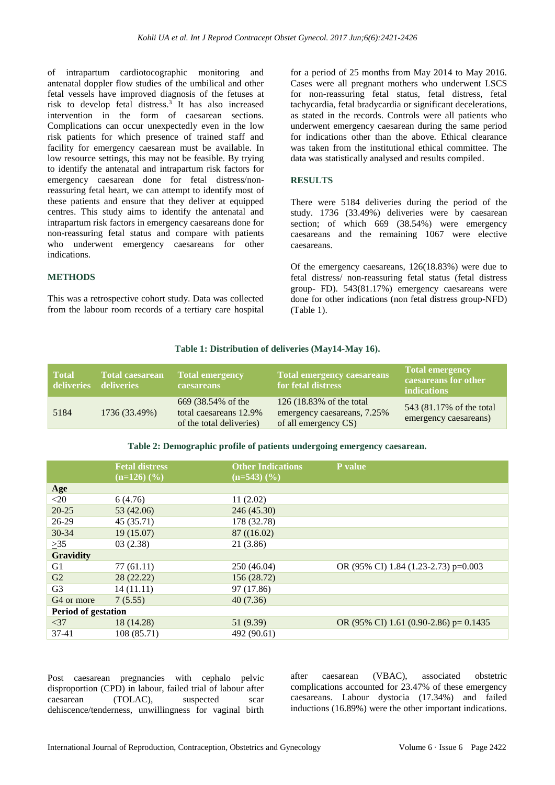of intrapartum cardiotocographic monitoring and antenatal doppler flow studies of the umbilical and other fetal vessels have improved diagnosis of the fetuses at risk to develop fetal distress. 3 It has also increased intervention in the form of caesarean sections. Complications can occur unexpectedly even in the low risk patients for which presence of trained staff and facility for emergency caesarean must be available. In low resource settings, this may not be feasible. By trying to identify the antenatal and intrapartum risk factors for emergency caesarean done for fetal distress/nonreassuring fetal heart, we can attempt to identify most of these patients and ensure that they deliver at equipped centres. This study aims to identify the antenatal and intrapartum risk factors in emergency caesareans done for non-reassuring fetal status and compare with patients who underwent emergency caesareans for other indications.

#### **METHODS**

This was a retrospective cohort study. Data was collected from the labour room records of a tertiary care hospital

for a period of 25 months from May 2014 to May 2016. Cases were all pregnant mothers who underwent LSCS for non-reassuring fetal status, fetal distress, fetal tachycardia, fetal bradycardia or significant decelerations, as stated in the records. Controls were all patients who underwent emergency caesarean during the same period for indications other than the above. Ethical clearance was taken from the institutional ethical committee. The data was statistically analysed and results compiled.

#### **RESULTS**

There were 5184 deliveries during the period of the study. 1736 (33.49%) deliveries were by caesarean section; of which 669 (38.54%) were emergency caesareans and the remaining 1067 were elective caesareans.

Of the emergency caesareans, 126(18.83%) were due to fetal distress/ non-reassuring fetal status (fetal distress group- FD). 543(81.17%) emergency caesareans were done for other indications (non fetal distress group-NFD) (Table 1).

#### **Table 1: Distribution of deliveries (May14-May 16).**

| <b>Total</b><br>deliveries | <b>Total caesarean</b><br>deliveries | <b>Total emergency</b><br><b>caesareans</b>                              | <b>Total emergency caesareans</b><br>for fetal distress                         | <b>Total emergency</b><br>caesareans for other<br><i>indications</i> |
|----------------------------|--------------------------------------|--------------------------------------------------------------------------|---------------------------------------------------------------------------------|----------------------------------------------------------------------|
| 5184                       | 1736 (33.49%)                        | 669 (38.54% of the<br>total caesareans 12.9%<br>of the total deliveries) | 126 (18.83% of the total<br>emergency caesareans, 7.25%<br>of all emergency CS) | 543 (81.17% of the total<br>emergency caesareans)                    |

#### **Table 2: Demographic profile of patients undergoing emergency caesarean.**

|                            | <b>Fetal distress</b><br>$(n=126)$ $(\frac{9}{6})$ | <b>Other Indications</b><br>$(n=543)$ $(\frac{9}{6})$ | P value                                  |  |  |
|----------------------------|----------------------------------------------------|-------------------------------------------------------|------------------------------------------|--|--|
| Age                        |                                                    |                                                       |                                          |  |  |
| $<$ 20                     | 6(4.76)                                            | 11(2.02)                                              |                                          |  |  |
| $20 - 25$                  | 53 (42.06)                                         | 246 (45.30)                                           |                                          |  |  |
| 26-29                      | 45(35.71)                                          | 178 (32.78)                                           |                                          |  |  |
| $30 - 34$                  | 19(15.07)                                          | 87 ((16.02)                                           |                                          |  |  |
| $\geq 35$                  | 03(2.38)                                           | 21 (3.86)                                             |                                          |  |  |
| <b>Gravidity</b>           |                                                    |                                                       |                                          |  |  |
| G1                         | 77 (61.11)                                         | 250 (46.04)                                           | OR (95% CI) 1.84 (1.23-2.73) p=0.003     |  |  |
| G <sub>2</sub>             | 28(22.22)                                          | 156 (28.72)                                           |                                          |  |  |
| G <sub>3</sub>             | 14(11.11)                                          | 97 (17.86)                                            |                                          |  |  |
| G <sub>4</sub> or more     | 7(5.55)                                            | 40(7.36)                                              |                                          |  |  |
| <b>Period of gestation</b> |                                                    |                                                       |                                          |  |  |
| $<$ 37                     | 18 (14.28)                                         | 51 (9.39)                                             | OR (95% CI) 1.61 (0.90-2.86) p= $0.1435$ |  |  |
| $37-41$                    | 108 (85.71)                                        | 492 (90.61)                                           |                                          |  |  |

Post caesarean pregnancies with cephalo pelvic disproportion (CPD) in labour, failed trial of labour after caesarean (TOLAC), suspected scar dehiscence/tenderness, unwillingness for vaginal birth after caesarean (VBAC), associated obstetric complications accounted for 23.47% of these emergency caesareans. Labour dystocia (17.34%) and failed inductions (16.89%) were the other important indications.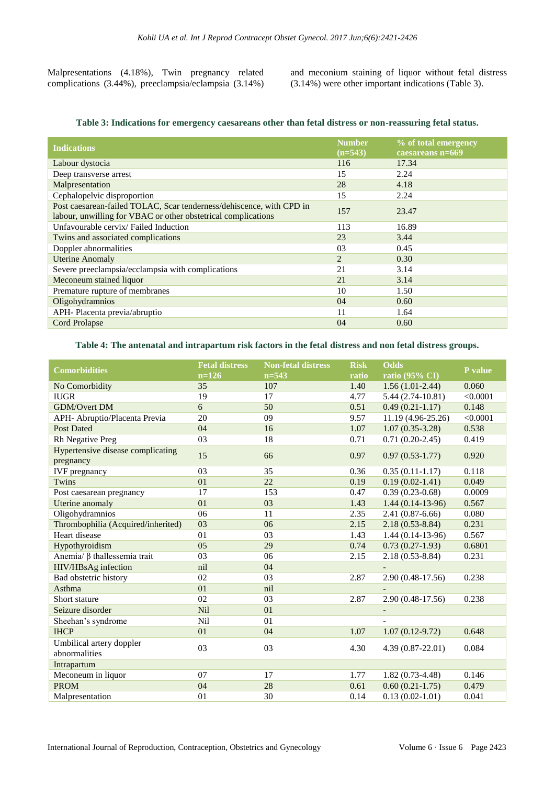Malpresentations (4.18%), Twin pregnancy related complications (3.44%), preeclampsia/eclampsia (3.14%) and meconium staining of liquor without fetal distress (3.14%) were other important indications (Table 3).

|  |  |  | Table 3: Indications for emergency caesareans other than fetal distress or non-reassuring fetal status. |  |  |  |  |
|--|--|--|---------------------------------------------------------------------------------------------------------|--|--|--|--|
|--|--|--|---------------------------------------------------------------------------------------------------------|--|--|--|--|

| <b>Indications</b>                                                                                                                    | <b>Number</b><br>$(n=543)$ | % of total emergency<br>caesareans n=669 |
|---------------------------------------------------------------------------------------------------------------------------------------|----------------------------|------------------------------------------|
| Labour dystocia                                                                                                                       | 116                        | 17.34                                    |
| Deep transverse arrest                                                                                                                | 15                         | 2.24                                     |
| Malpresentation                                                                                                                       | 28                         | 4.18                                     |
| Cephalopelvic disproportion                                                                                                           | 15                         | 2.24                                     |
| Post caesarean-failed TOLAC, Scar tenderness/dehiscence, with CPD in<br>labour, unwilling for VBAC or other obstetrical complications | 157                        | 23.47                                    |
| Unfavourable cervix/ Failed Induction                                                                                                 | 113                        | 16.89                                    |
| Twins and associated complications                                                                                                    | 23                         | 3.44                                     |
| Doppler abnormalities                                                                                                                 | 03                         | 0.45                                     |
| <b>Uterine Anomaly</b>                                                                                                                | $\overline{2}$             | 0.30                                     |
| Severe preeclampsia/ecclampsia with complications                                                                                     | 21                         | 3.14                                     |
| Meconeum stained liquor                                                                                                               | 21                         | 3.14                                     |
| Premature rupture of membranes                                                                                                        | 10                         | 1.50                                     |
| Oligohydramnios                                                                                                                       | 04                         | 0.60                                     |
| APH-Placenta previa/abruptio                                                                                                          | 11                         | 1.64                                     |
| <b>Cord Prolapse</b>                                                                                                                  | 04                         | 0.60                                     |
|                                                                                                                                       |                            |                                          |

#### **Table 4: The antenatal and intrapartum risk factors in the fetal distress and non fetal distress groups.**

| <b>Comorbidities</b>               | <b>Fetal distress</b> | <b>Non-fetal distress</b> | <b>Risk</b> | <b>Odds</b>               | P value  |  |
|------------------------------------|-----------------------|---------------------------|-------------|---------------------------|----------|--|
|                                    | $n=126$               | $n = 543$                 | ratio       | ratio $(95\% \text{ CI})$ |          |  |
| No Comorbidity                     | 35                    | 107                       | 1.40        | $1.56(1.01-2.44)$         | 0.060    |  |
| <b>IUGR</b>                        | 19                    | 17                        | 4.77        | $5.44(2.74-10.81)$        | < 0.0001 |  |
| <b>GDM/Overt DM</b>                | 6                     | 50                        | 0.51        | $0.49(0.21-1.17)$         | 0.148    |  |
| APH- Abruptio/Placenta Previa      | 20                    | 09                        | 9.57        | 11.19 (4.96-25.26)        | < 0.0001 |  |
| <b>Post Dated</b>                  | 04                    | 16                        | 1.07        | $1.07(0.35-3.28)$         | 0.538    |  |
| Rh Negative Preg                   | 03                    | 18                        | 0.71        | $0.71(0.20-2.45)$         | 0.419    |  |
| Hypertensive disease complicating  | 15                    | 66                        |             |                           | 0.920    |  |
| pregnancy                          |                       |                           | 0.97        | $0.97(0.53-1.77)$         |          |  |
| <b>IVF</b> pregnancy               | 03                    | 35                        | 0.36        | $0.35(0.11-1.17)$         | 0.118    |  |
| Twins                              | 01                    | 22                        | 0.19        | $0.19(0.02-1.41)$         | 0.049    |  |
| Post caesarean pregnancy           | 17                    | 153                       | 0.47        | $0.39(0.23-0.68)$         | 0.0009   |  |
| Uterine anomaly                    | 01                    | 03                        | 1.43        | $1.44(0.14-13-96)$        | 0.567    |  |
| Oligohydramnios                    | 06                    | 11                        | 2.35        | $2.41(0.87-6.66)$         | 0.080    |  |
| Thrombophilia (Acquired/inherited) | 03                    | 06                        | 2.15        | $2.18(0.53 - 8.84)$       | 0.231    |  |
| Heart disease                      | 01                    | 03                        | 1.43        | $1.44(0.14-13-96)$        | 0.567    |  |
| Hypothyroidism                     | 05                    | 29                        | 0.74        | $0.73(0.27-1.93)$         | 0.6801   |  |
| Anemia/ β thallessemia trait       | 03                    | 06                        | 2.15        | $2.18(0.53 - 8.84)$       | 0.231    |  |
| HIV/HBsAg infection                | nil                   | 04                        |             |                           |          |  |
| Bad obstetric history              | 02                    | 03                        | 2.87        | 2.90 (0.48-17.56)         | 0.238    |  |
| Asthma                             | 01                    | nil                       |             |                           |          |  |
| Short stature                      | 02                    | 03                        | 2.87        | 2.90 (0.48-17.56)         | 0.238    |  |
| Seizure disorder                   | <b>Nil</b>            | 01                        |             | $\overline{\phantom{a}}$  |          |  |
| Sheehan's syndrome                 | Nil                   | 01                        |             |                           |          |  |
| <b>IHCP</b>                        | 01                    | 04                        | 1.07        | $1.07(0.12-9.72)$         | 0.648    |  |
| Umbilical artery doppler           | 03                    | 03                        | 4.30        | 4.39 (0.87-22.01)         | 0.084    |  |
| abnormalities                      |                       |                           |             |                           |          |  |
| Intrapartum                        |                       |                           |             |                           |          |  |
| Meconeum in liquor                 | 07                    | 17                        | 1.77        | $1.82(0.73-4.48)$         | 0.146    |  |
| <b>PROM</b>                        | 04                    | 28                        | 0.61        | $0.60(0.21-1.75)$         | 0.479    |  |
| Malpresentation                    | 01                    | 30                        | 0.14        | $0.13(0.02 - 1.01)$       | 0.041    |  |
|                                    |                       |                           |             |                           |          |  |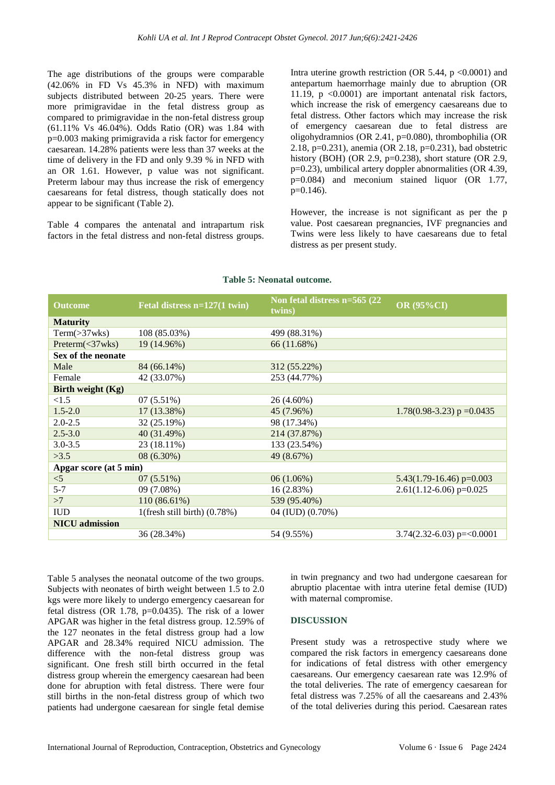The age distributions of the groups were comparable (42.06% in FD Vs 45.3% in NFD) with maximum subjects distributed between 20-25 years. There were more primigravidae in the fetal distress group as compared to primigravidae in the non-fetal distress group (61.11% Vs 46.04%). Odds Ratio (OR) was 1.84 with p=0.003 making primigravida a risk factor for emergency caesarean. 14.28% patients were less than 37 weeks at the time of delivery in the FD and only 9.39 % in NFD with an OR 1.61. However, p value was not significant. Preterm labour may thus increase the risk of emergency caesareans for fetal distress, though statically does not appear to be significant (Table 2).

Table 4 compares the antenatal and intrapartum risk factors in the fetal distress and non-fetal distress groups.

Intra uterine growth restriction (OR 5.44,  $p \le 0.0001$ ) and antepartum haemorrhage mainly due to abruption (OR 11.19,  $p \leq 0.0001$  are important antenatal risk factors, which increase the risk of emergency caesareans due to fetal distress. Other factors which may increase the risk of emergency caesarean due to fetal distress are oligohydramnios (OR 2.41, p=0.080), thrombophilia (OR 2.18, p=0.231), anemia (OR 2.18, p=0.231), bad obstetric history (BOH) (OR 2.9,  $p=0.238$ ), short stature (OR 2.9, p=0.23), umbilical artery doppler abnormalities (OR 4.39, p=0.084) and meconium stained liquor (OR 1.77,  $p=0.146$ ).

However, the increase is not significant as per the p value. Post caesarean pregnancies, IVF pregnancies and Twins were less likely to have caesareans due to fetal distress as per present study.

| <b>Outcome</b>         | Fetal distress n=127(1 twin)      | Non fetal distress n=565 (22)<br>twins) | <b>OR (95%CI)</b>              |  |  |
|------------------------|-----------------------------------|-----------------------------------------|--------------------------------|--|--|
| <b>Maturity</b>        |                                   |                                         |                                |  |  |
| Term( > 37wks)         | 108 (85.03%)                      | 499 (88.31%)                            |                                |  |  |
| Preterm(<27wks)        | 19 (14.96%)                       | 66 (11.68%)                             |                                |  |  |
| Sex of the neonate     |                                   |                                         |                                |  |  |
| Male                   | 84 (66.14%)                       | 312 (55.22%)                            |                                |  |  |
| Female                 | 42 (33.07%)                       | 253 (44.77%)                            |                                |  |  |
| Birth weight $(Kg)$    |                                   |                                         |                                |  |  |
| <1.5                   | $07(5.51\%)$                      | 26 (4.60%)                              |                                |  |  |
| $1.5 - 2.0$            | 17 (13.38%)                       | 45 (7.96%)                              | $1.78(0.98-3.23)$ p = 0.0435   |  |  |
| $2.0 - 2.5$            | 32 (25.19%)                       | 98 (17.34%)                             |                                |  |  |
| $2.5 - 3.0$            | 40 (31.49%)                       | 214 (37.87%)                            |                                |  |  |
| $3.0 - 3.5$            | 23 (18.11%)                       | 133 (23.54%)                            |                                |  |  |
| >3.5                   | $08(6.30\%)$                      | 49 (8.67%)                              |                                |  |  |
| Apgar score (at 5 min) |                                   |                                         |                                |  |  |
| $<$ 5                  | $07(5.51\%)$                      | $06(1.06\%)$                            | $5.43(1.79-16.46)$ p=0.003     |  |  |
| $5 - 7$                | 09 (7.08%)                        | 16(2.83%)                               | $2.61(1.12-6.06)$ p=0.025      |  |  |
| >7                     | 110 (86.61%)                      | 539 (95.40%)                            |                                |  |  |
| <b>IUD</b>             | $1$ (fresh still birth) $(0.78%)$ | 04 (IUD) (0.70%)                        |                                |  |  |
| <b>NICU</b> admission  |                                   |                                         |                                |  |  |
|                        | 36 (28.34%)                       | 54 (9.55%)                              | $3.74(2.32-6.03)$ p= $<0.0001$ |  |  |
|                        |                                   |                                         |                                |  |  |

#### **Table 5: Neonatal outcome.**

Table 5 analyses the neonatal outcome of the two groups. Subjects with neonates of birth weight between 1.5 to 2.0 kgs were more likely to undergo emergency caesarean for fetal distress (OR 1.78, p=0.0435). The risk of a lower APGAR was higher in the fetal distress group. 12.59% of the 127 neonates in the fetal distress group had a low APGAR and 28.34% required NICU admission. The difference with the non-fetal distress group was significant. One fresh still birth occurred in the fetal distress group wherein the emergency caesarean had been done for abruption with fetal distress. There were four still births in the non-fetal distress group of which two patients had undergone caesarean for single fetal demise

in twin pregnancy and two had undergone caesarean for abruptio placentae with intra uterine fetal demise (IUD) with maternal compromise.

#### **DISCUSSION**

Present study was a retrospective study where we compared the risk factors in emergency caesareans done for indications of fetal distress with other emergency caesareans. Our emergency caesarean rate was 12.9% of the total deliveries. The rate of emergency caesarean for fetal distress was 7.25% of all the caesareans and 2.43% of the total deliveries during this period. Caesarean rates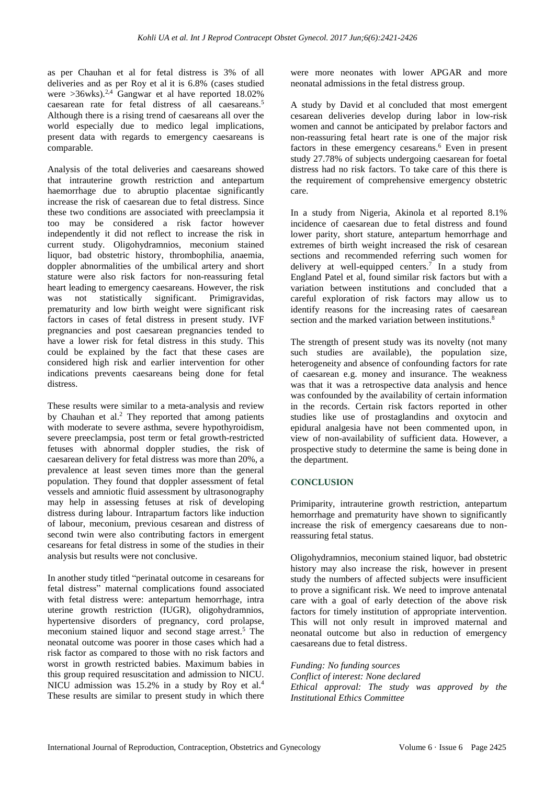as per Chauhan et al for fetal distress is 3% of all deliveries and as per Roy et al it is 6.8% (cases studied were  $>36$ wks).<sup>2,4</sup> Gangwar et al have reported 18.02% caesarean rate for fetal distress of all caesareans.<sup>5</sup> Although there is a rising trend of caesareans all over the world especially due to medico legal implications, present data with regards to emergency caesareans is comparable.

Analysis of the total deliveries and caesareans showed that intrauterine growth restriction and antepartum haemorrhage due to abruptio placentae significantly increase the risk of caesarean due to fetal distress. Since these two conditions are associated with preeclampsia it too may be considered a risk factor however independently it did not reflect to increase the risk in current study. Oligohydramnios, meconium stained liquor, bad obstetric history, thrombophilia, anaemia, doppler abnormalities of the umbilical artery and short stature were also risk factors for non-reassuring fetal heart leading to emergency caesareans. However, the risk was not statistically significant. Primigravidas, prematurity and low birth weight were significant risk factors in cases of fetal distress in present study. IVF pregnancies and post caesarean pregnancies tended to have a lower risk for fetal distress in this study. This could be explained by the fact that these cases are considered high risk and earlier intervention for other indications prevents caesareans being done for fetal distress.

These results were similar to a meta-analysis and review by Chauhan et al. <sup>2</sup> They reported that among patients with moderate to severe asthma, severe hypothyroidism, severe preeclampsia, post term or fetal growth-restricted fetuses with abnormal doppler studies, the risk of caesarean delivery for fetal distress was more than 20%, a prevalence at least seven times more than the general population. They found that doppler assessment of fetal vessels and amniotic fluid assessment by ultrasonography may help in assessing fetuses at risk of developing distress during labour. Intrapartum factors like induction of labour, meconium, previous cesarean and distress of second twin were also contributing factors in emergent cesareans for fetal distress in some of the studies in their analysis but results were not conclusive.

In another study titled "perinatal outcome in cesareans for fetal distress" maternal complications found associated with fetal distress were: antepartum hemorrhage, intra uterine growth restriction (IUGR), oligohydramnios, hypertensive disorders of pregnancy, cord prolapse, meconium stained liquor and second stage arrest.<sup>5</sup> The neonatal outcome was poorer in those cases which had a risk factor as compared to those with no risk factors and worst in growth restricted babies. Maximum babies in this group required resuscitation and admission to NICU. NICU admission was 15.2% in a study by Roy et al.<sup>4</sup> These results are similar to present study in which there were more neonates with lower APGAR and more neonatal admissions in the fetal distress group.

A study by David et al concluded that most emergent cesarean deliveries develop during labor in low-risk women and cannot be anticipated by prelabor factors and non-reassuring fetal heart rate is one of the major risk factors in these emergency cesareans.<sup>6</sup> Even in present study 27.78% of subjects undergoing caesarean for foetal distress had no risk factors. To take care of this there is the requirement of comprehensive emergency obstetric care.

In a study from Nigeria, Akinola et al reported 8.1% incidence of caesarean due to fetal distress and found lower parity, short stature, antepartum hemorrhage and extremes of birth weight increased the risk of cesarean sections and recommended referring such women for delivery at well-equipped centers.<sup>7</sup> In a study from England Patel et al, found similar risk factors but with a variation between institutions and concluded that a careful exploration of risk factors may allow us to identify reasons for the increasing rates of caesarean section and the marked variation between institutions.<sup>8</sup>

The strength of present study was its novelty (not many such studies are available), the population size, heterogeneity and absence of confounding factors for rate of caesarean e.g. money and insurance. The weakness was that it was a retrospective data analysis and hence was confounded by the availability of certain information in the records. Certain risk factors reported in other studies like use of prostaglandins and oxytocin and epidural analgesia have not been commented upon, in view of non-availability of sufficient data. However, a prospective study to determine the same is being done in the department.

## **CONCLUSION**

Primiparity, intrauterine growth restriction, antepartum hemorrhage and prematurity have shown to significantly increase the risk of emergency caesareans due to nonreassuring fetal status.

Oligohydramnios, meconium stained liquor, bad obstetric history may also increase the risk, however in present study the numbers of affected subjects were insufficient to prove a significant risk. We need to improve antenatal care with a goal of early detection of the above risk factors for timely institution of appropriate intervention. This will not only result in improved maternal and neonatal outcome but also in reduction of emergency caesareans due to fetal distress.

*Funding: No funding sources Conflict of interest: None declared Ethical approval: The study was approved by the Institutional Ethics Committee*